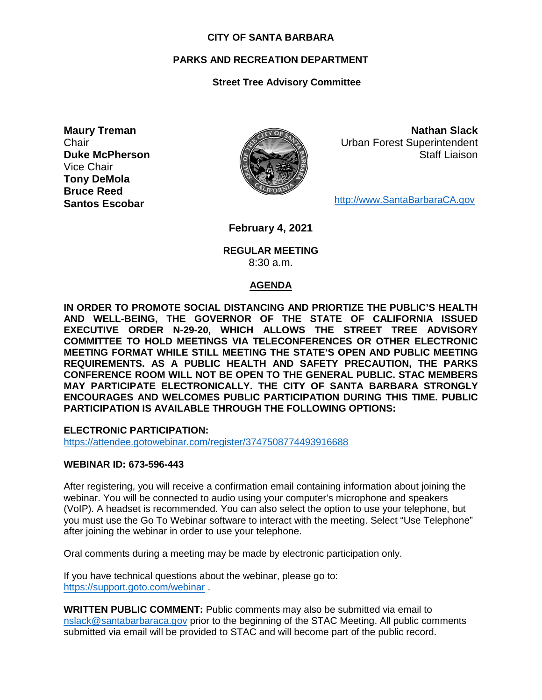#### **CITY OF SANTA BARBARA**

## **PARKS AND RECREATION DEPARTMENT**

## **Street Tree Advisory Committee**

**Maury Treman Chair Duke McPherson** Vice Chair **Tony DeMola Bruce Reed Santos Escobar**



**Nathan Slack** Urban Forest Superintendent Staff Liaison

[http://www.SantaBarbaraCA.gov](http://www.santabarbaraca.gov/)

**February 4, 2021**

### **REGULAR MEETING** 8:30 a.m.

#### **AGENDA**

**IN ORDER TO PROMOTE SOCIAL DISTANCING AND PRIORTIZE THE PUBLIC'S HEALTH AND WELL-BEING, THE GOVERNOR OF THE STATE OF CALIFORNIA ISSUED EXECUTIVE ORDER N-29-20, WHICH ALLOWS THE STREET TREE ADVISORY COMMITTEE TO HOLD MEETINGS VIA TELECONFERENCES OR OTHER ELECTRONIC MEETING FORMAT WHILE STILL MEETING THE STATE'S OPEN AND PUBLIC MEETING REQUIREMENTS. AS A PUBLIC HEALTH AND SAFETY PRECAUTION, THE PARKS CONFERENCE ROOM WILL NOT BE OPEN TO THE GENERAL PUBLIC. STAC MEMBERS MAY PARTICIPATE ELECTRONICALLY. THE CITY OF SANTA BARBARA STRONGLY ENCOURAGES AND WELCOMES PUBLIC PARTICIPATION DURING THIS TIME. PUBLIC PARTICIPATION IS AVAILABLE THROUGH THE FOLLOWING OPTIONS:**

**ELECTRONIC PARTICIPATION:** 

<https://attendee.gotowebinar.com/register/3747508774493916688>

#### **WEBINAR ID: 673-596-443**

After registering, you will receive a confirmation email containing information about joining the webinar. You will be connected to audio using your computer's microphone and speakers (VoIP). A headset is recommended. You can also select the option to use your telephone, but you must use the Go To Webinar software to interact with the meeting. Select "Use Telephone" after joining the webinar in order to use your telephone.

Oral comments during a meeting may be made by electronic participation only.

If you have technical questions about the webinar, please go to: <https://support.goto.com/webinar> .

**WRITTEN PUBLIC COMMENT:** Public comments may also be submitted via email to [nslack@santabarbaraca.gov](mailto:nslack@santabarbaraca.gov) prior to the beginning of the STAC Meeting. All public comments submitted via email will be provided to STAC and will become part of the public record.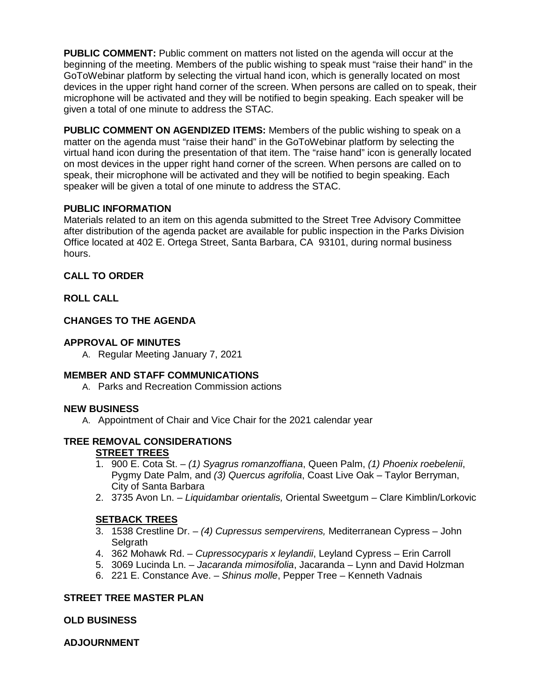**PUBLIC COMMENT:** Public comment on matters not listed on the agenda will occur at the beginning of the meeting. Members of the public wishing to speak must "raise their hand" in the GoToWebinar platform by selecting the virtual hand icon, which is generally located on most devices in the upper right hand corner of the screen. When persons are called on to speak, their microphone will be activated and they will be notified to begin speaking. Each speaker will be given a total of one minute to address the STAC.

**PUBLIC COMMENT ON AGENDIZED ITEMS:** Members of the public wishing to speak on a matter on the agenda must "raise their hand" in the GoToWebinar platform by selecting the virtual hand icon during the presentation of that item. The "raise hand" icon is generally located on most devices in the upper right hand corner of the screen. When persons are called on to speak, their microphone will be activated and they will be notified to begin speaking. Each speaker will be given a total of one minute to address the STAC.

# **PUBLIC INFORMATION**

Materials related to an item on this agenda submitted to the Street Tree Advisory Committee after distribution of the agenda packet are available for public inspection in the Parks Division Office located at 402 E. Ortega Street, Santa Barbara, CA 93101, during normal business hours.

### **CALL TO ORDER**

### **ROLL CALL**

# **CHANGES TO THE AGENDA**

### **APPROVAL OF MINUTES**

A. Regular Meeting January 7, 2021

# **MEMBER AND STAFF COMMUNICATIONS**

A. Parks and Recreation Commission actions

#### **NEW BUSINESS**

A. Appointment of Chair and Vice Chair for the 2021 calendar year

# **TREE REMOVAL CONSIDERATIONS**

# **STREET TREES**

- 1. 900 E. Cota St. *(1) Syagrus romanzoffiana*, Queen Palm, *(1) Phoenix roebelenii*, Pygmy Date Palm, and *(3) Quercus agrifolia*, Coast Live Oak – Taylor Berryman, City of Santa Barbara
- 2. 3735 Avon Ln. *Liquidambar orientalis,* Oriental Sweetgum Clare Kimblin/Lorkovic

# **SETBACK TREES**

- 3. 1538 Crestline Dr. *(4) Cupressus sempervirens,* Mediterranean Cypress John **Selgrath**
- 4. 362 Mohawk Rd. *Cupressocyparis x leylandii*, Leyland Cypress Erin Carroll
- 5. 3069 Lucinda Ln. *Jacaranda mimosifolia*, Jacaranda Lynn and David Holzman
- 6. 221 E. Constance Ave. *Shinus molle*, Pepper Tree Kenneth Vadnais

# **STREET TREE MASTER PLAN**

#### **OLD BUSINESS**

**ADJOURNMENT**